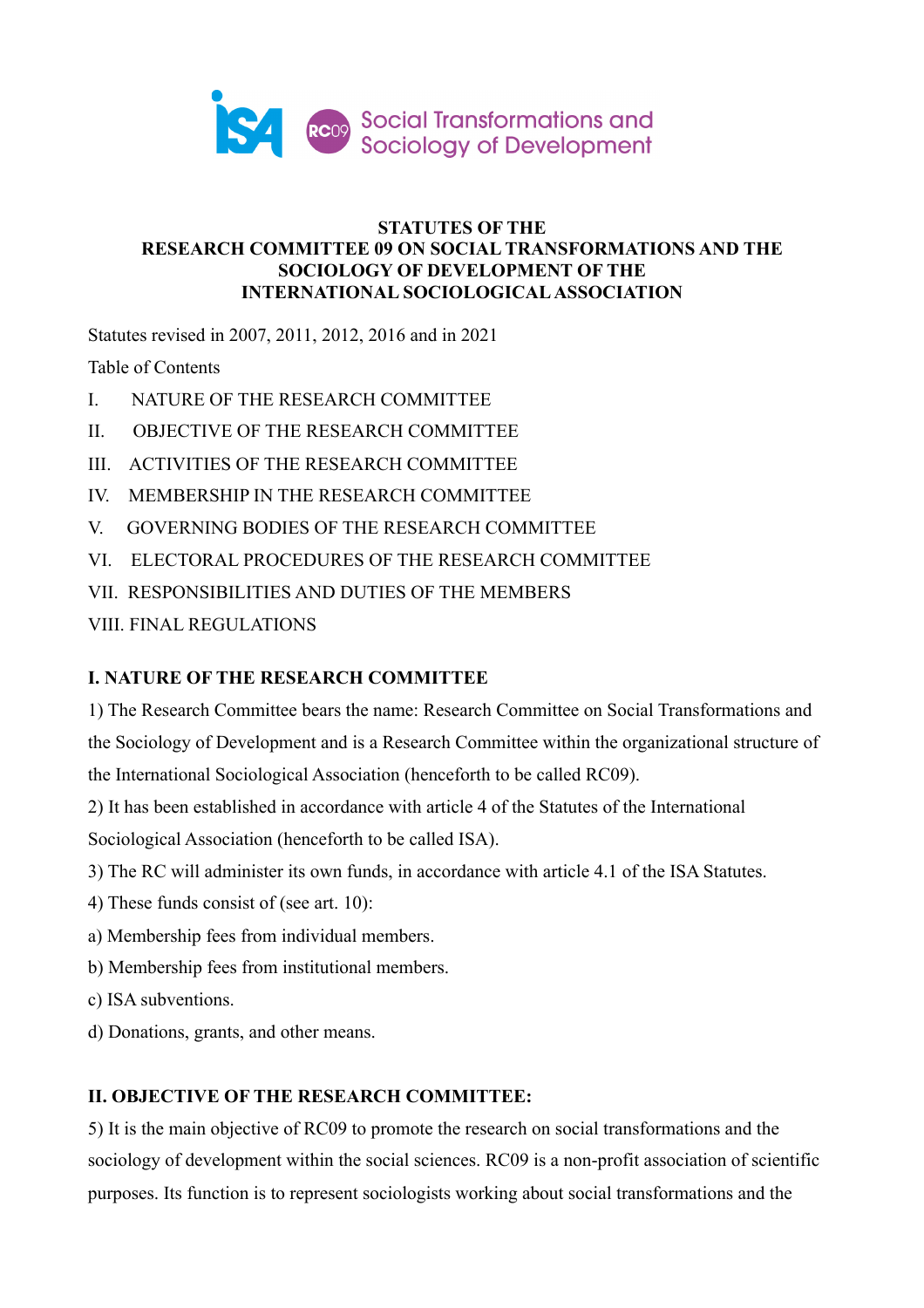

## **STATUTES OF THE RESEARCH COMMITTEE 09 ON SOCIAL TRANSFORMATIONS AND THE SOCIOLOGY OF DEVELOPMENT OF THE INTERNATIONAL SOCIOLOGICAL ASSOCIATION**

Statutes revised in 2007, 2011, 2012, 2016 and in 2021

Table of Contents

- I. NATURE OF THE RESEARCH COMMITTEE
- II. OBJECTIVE OF THE RESEARCH COMMITTEE
- III. ACTIVITIES OF THE RESEARCH COMMITTEE
- IV. MEMBERSHIP IN THE RESEARCH COMMITTEE
- V. GOVERNING BODIES OF THE RESEARCH COMMITTEE
- VI. ELECTORAL PROCEDURES OF THE RESEARCH COMMITTEE
- VII. RESPONSIBILITIES AND DUTIES OF THE MEMBERS
- VIII. FINAL REGULATIONS

# **I. NATURE OF THE RESEARCH COMMITTEE**

1) The Research Committee bears the name: Research Committee on Social Transformations and the Sociology of Development and is a Research Committee within the organizational structure of the International Sociological Association (henceforth to be called RC09).

2) It has been established in accordance with article 4 of the Statutes of the International Sociological Association (henceforth to be called ISA).

- 3) The RC will administer its own funds, in accordance with article 4.1 of the ISA Statutes.
- 4) These funds consist of (see art. 10):
- a) Membership fees from individual members.
- b) Membership fees from institutional members.
- c) ISA subventions.
- d) Donations, grants, and other means.

# **II. OBJECTIVE OF THE RESEARCH COMMITTEE:**

5) It is the main objective of RC09 to promote the research on social transformations and the sociology of development within the social sciences. RC09 is a non-profit association of scientific purposes. Its function is to represent sociologists working about social transformations and the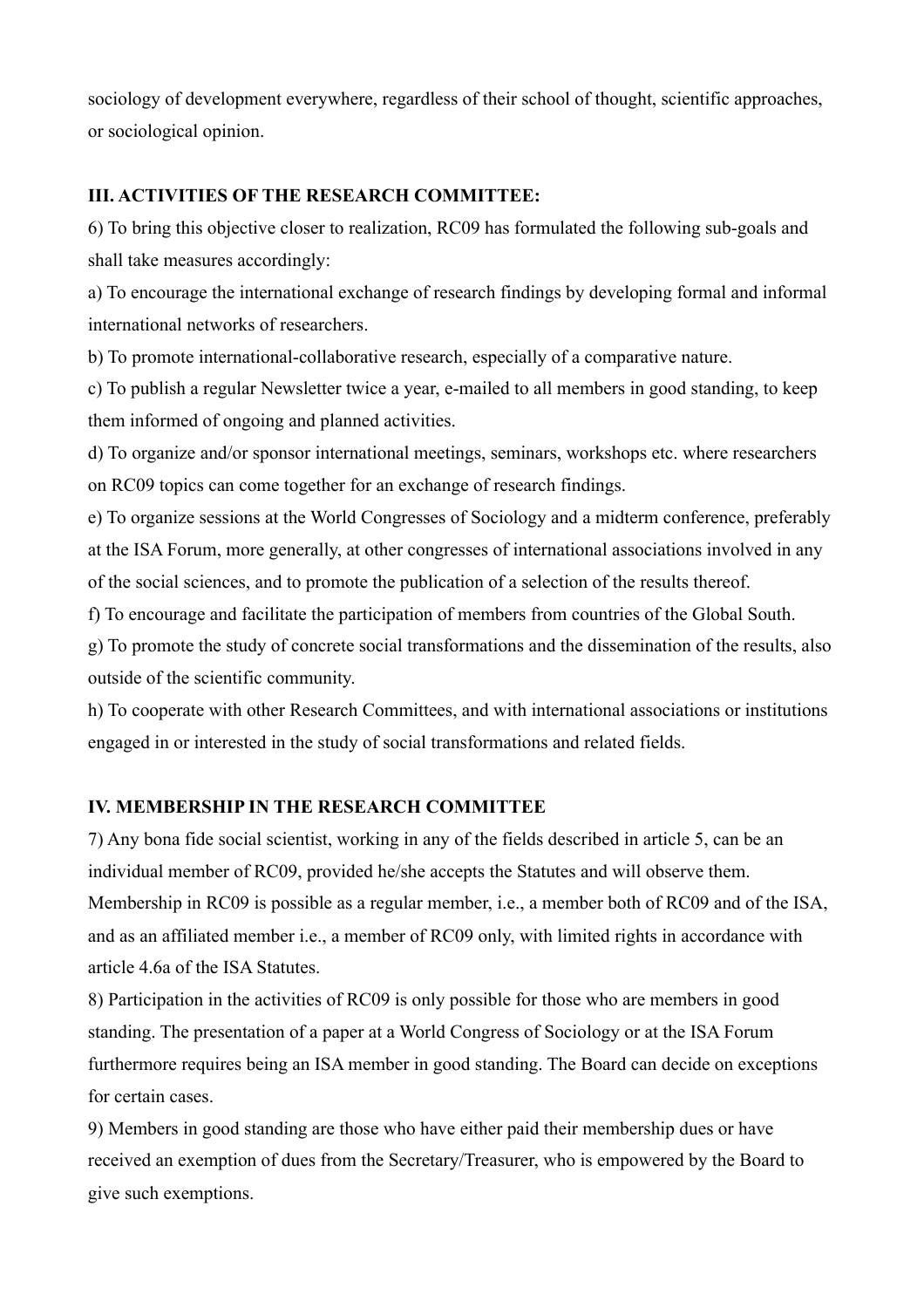sociology of development everywhere, regardless of their school of thought, scientific approaches, or sociological opinion.

## **III. ACTIVITIES OF THE RESEARCH COMMITTEE:**

6) To bring this objective closer to realization, RC09 has formulated the following sub-goals and shall take measures accordingly:

a) To encourage the international exchange of research findings by developing formal and informal international networks of researchers.

b) To promote international-collaborative research, especially of a comparative nature.

c) To publish a regular Newsletter twice a year, e-mailed to all members in good standing, to keep them informed of ongoing and planned activities.

d) To organize and/or sponsor international meetings, seminars, workshops etc. where researchers on RC09 topics can come together for an exchange of research findings.

e) To organize sessions at the World Congresses of Sociology and a midterm conference, preferably at the ISA Forum, more generally, at other congresses of international associations involved in any of the social sciences, and to promote the publication of a selection of the results thereof.

f) To encourage and facilitate the participation of members from countries of the Global South.

g) To promote the study of concrete social transformations and the dissemination of the results, also outside of the scientific community.

h) To cooperate with other Research Committees, and with international associations or institutions engaged in or interested in the study of social transformations and related fields.

## **IV. MEMBERSHIP IN THE RESEARCH COMMITTEE**

7) Any bona fide social scientist, working in any of the fields described in article 5, can be an individual member of RC09, provided he/she accepts the Statutes and will observe them. Membership in RC09 is possible as a regular member, i.e., a member both of RC09 and of the ISA, and as an affiliated member i.e., a member of RC09 only, with limited rights in accordance with article 4.6a of the ISA Statutes.

8) Participation in the activities of RC09 is only possible for those who are members in good standing. The presentation of a paper at a World Congress of Sociology or at the ISA Forum furthermore requires being an ISA member in good standing. The Board can decide on exceptions for certain cases.

9) Members in good standing are those who have either paid their membership dues or have received an exemption of dues from the Secretary/Treasurer, who is empowered by the Board to give such exemptions.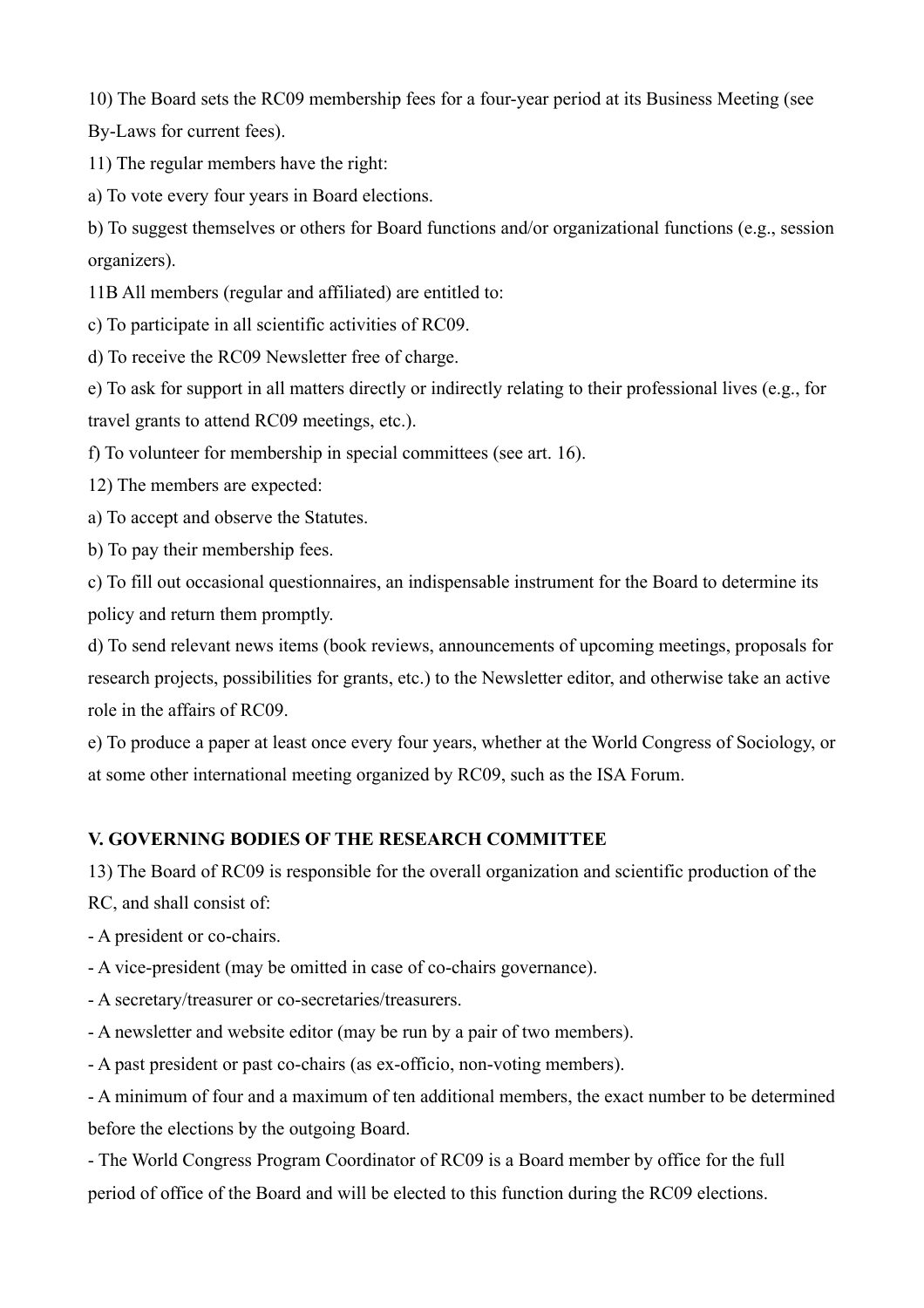10) The Board sets the RC09 membership fees for a four-year period at its Business Meeting (see By-Laws for current fees).

11) The regular members have the right:

a) To vote every four years in Board elections.

b) To suggest themselves or others for Board functions and/or organizational functions (e.g., session organizers).

11B All members (regular and affiliated) are entitled to:

c) To participate in all scientific activities of RC09.

d) To receive the RC09 Newsletter free of charge.

e) To ask for support in all matters directly or indirectly relating to their professional lives (e.g., for travel grants to attend RC09 meetings, etc.).

f) To volunteer for membership in special committees (see art. 16).

12) The members are expected:

a) To accept and observe the Statutes.

b) To pay their membership fees.

c) To fill out occasional questionnaires, an indispensable instrument for the Board to determine its policy and return them promptly.

d) To send relevant news items (book reviews, announcements of upcoming meetings, proposals for research projects, possibilities for grants, etc.) to the Newsletter editor, and otherwise take an active role in the affairs of RC09.

e) To produce a paper at least once every four years, whether at the World Congress of Sociology, or at some other international meeting organized by RC09, such as the ISA Forum.

# **V. GOVERNING BODIES OF THE RESEARCH COMMITTEE**

13) The Board of RC09 is responsible for the overall organization and scientific production of the

RC, and shall consist of:

- A president or co-chairs.

- A vice-president (may be omitted in case of co-chairs governance).

- A secretary/treasurer or co-secretaries/treasurers.

- A newsletter and website editor (may be run by a pair of two members).

- A past president or past co-chairs (as ex-officio, non-voting members).

- A minimum of four and a maximum of ten additional members, the exact number to be determined before the elections by the outgoing Board.

- The World Congress Program Coordinator of RC09 is a Board member by office for the full period of office of the Board and will be elected to this function during the RC09 elections.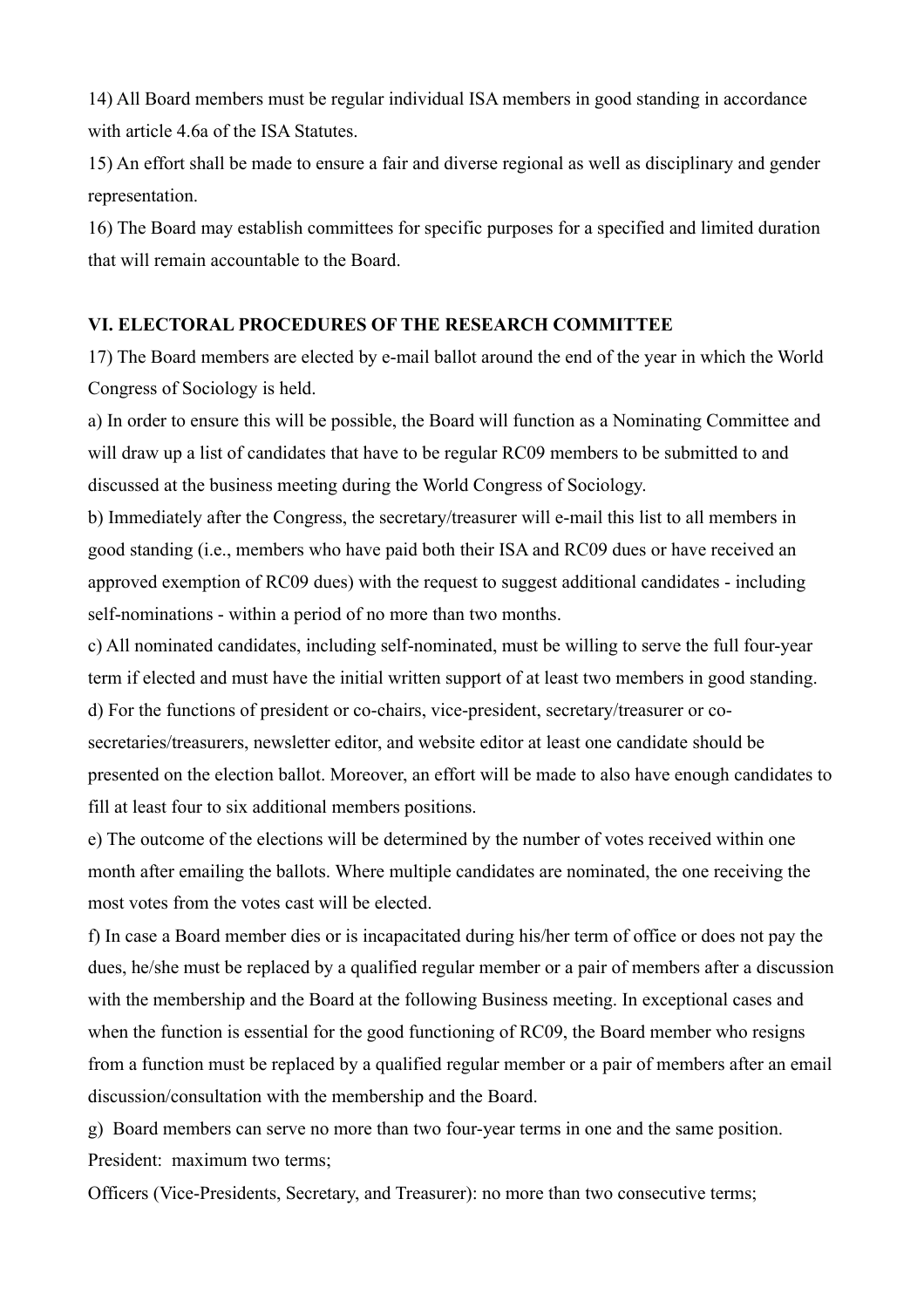14) All Board members must be regular individual ISA members in good standing in accordance with article 4.6a of the ISA Statutes.

15) An effort shall be made to ensure a fair and diverse regional as well as disciplinary and gender representation.

16) The Board may establish committees for specific purposes for a specified and limited duration that will remain accountable to the Board.

#### **VI. ELECTORAL PROCEDURES OF THE RESEARCH COMMITTEE**

17) The Board members are elected by e-mail ballot around the end of the year in which the World Congress of Sociology is held.

a) In order to ensure this will be possible, the Board will function as a Nominating Committee and will draw up a list of candidates that have to be regular RC09 members to be submitted to and discussed at the business meeting during the World Congress of Sociology.

b) Immediately after the Congress, the secretary/treasurer will e-mail this list to all members in good standing (i.e., members who have paid both their ISA and RC09 dues or have received an approved exemption of RC09 dues) with the request to suggest additional candidates - including self-nominations - within a period of no more than two months.

c) All nominated candidates, including self-nominated, must be willing to serve the full four-year term if elected and must have the initial written support of at least two members in good standing. d) For the functions of president or co-chairs, vice-president, secretary/treasurer or cosecretaries/treasurers, newsletter editor, and website editor at least one candidate should be presented on the election ballot. Moreover, an effort will be made to also have enough candidates to fill at least four to six additional members positions.

e) The outcome of the elections will be determined by the number of votes received within one month after emailing the ballots. Where multiple candidates are nominated, the one receiving the most votes from the votes cast will be elected.

f) In case a Board member dies or is incapacitated during his/her term of office or does not pay the dues, he/she must be replaced by a qualified regular member or a pair of members after a discussion with the membership and the Board at the following Business meeting. In exceptional cases and when the function is essential for the good functioning of RC09, the Board member who resigns from a function must be replaced by a qualified regular member or a pair of members after an email discussion/consultation with the membership and the Board.

g) Board members can serve no more than two four-year terms in one and the same position. President: maximum two terms;

Officers (Vice-Presidents, Secretary, and Treasurer): no more than two consecutive terms;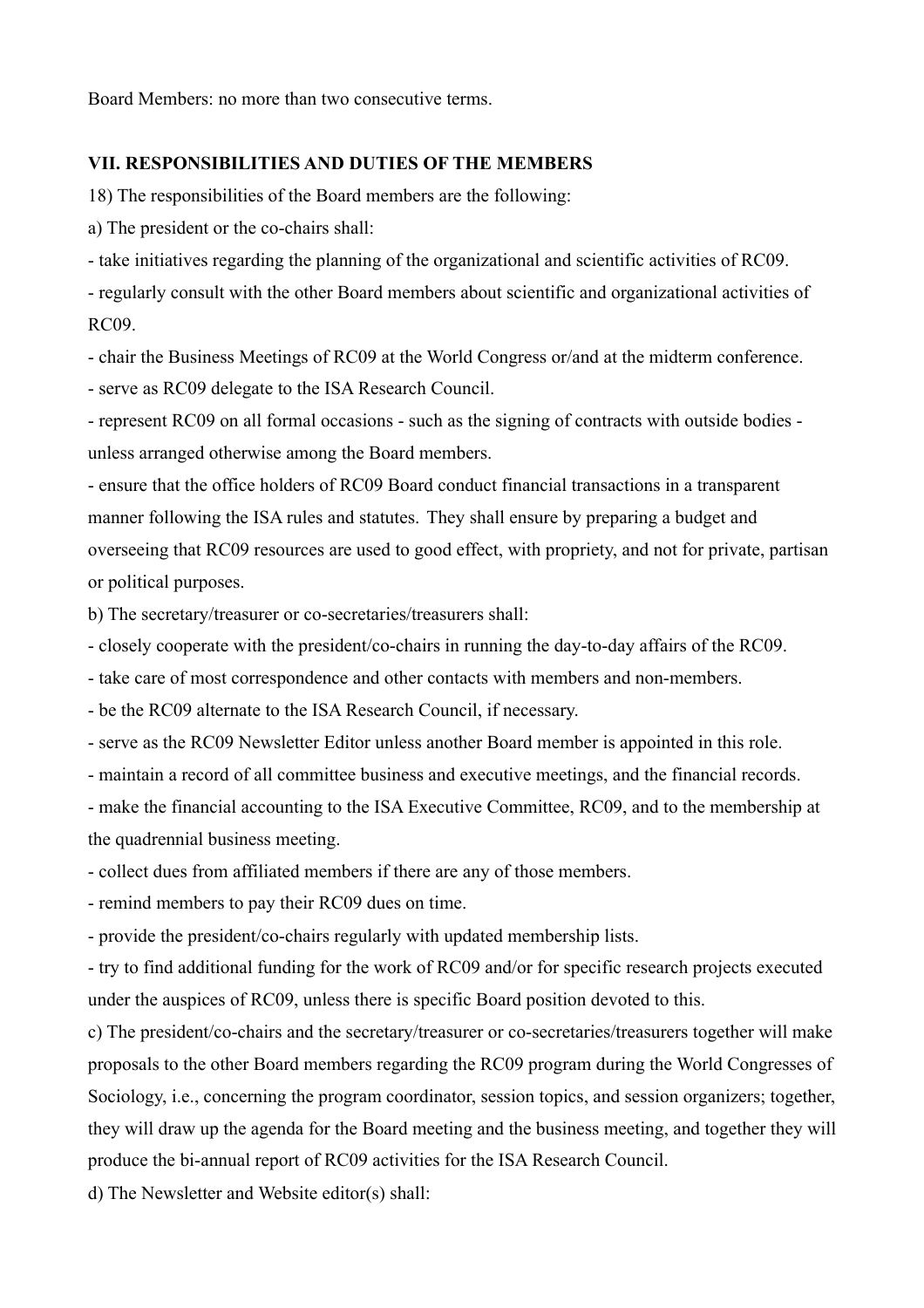Board Members: no more than two consecutive terms.

## **VII. RESPONSIBILITIES AND DUTIES OF THE MEMBERS**

18) The responsibilities of the Board members are the following:

a) The president or the co-chairs shall:

- take initiatives regarding the planning of the organizational and scientific activities of RC09.

- regularly consult with the other Board members about scientific and organizational activities of RC09.

- chair the Business Meetings of RC09 at the World Congress or/and at the midterm conference.

- serve as RC09 delegate to the ISA Research Council.

- represent RC09 on all formal occasions - such as the signing of contracts with outside bodies unless arranged otherwise among the Board members.

- ensure that the office holders of RC09 Board conduct financial transactions in a transparent manner following the ISA rules and statutes. They shall ensure by preparing a budget and overseeing that RC09 resources are used to good effect, with propriety, and not for private, partisan or political purposes.

b) The secretary/treasurer or co-secretaries/treasurers shall:

- closely cooperate with the president/co-chairs in running the day-to-day affairs of the RC09.

- take care of most correspondence and other contacts with members and non-members.

- be the RC09 alternate to the ISA Research Council, if necessary.

- serve as the RC09 Newsletter Editor unless another Board member is appointed in this role.

- maintain a record of all committee business and executive meetings, and the financial records.

- make the financial accounting to the ISA Executive Committee, RC09, and to the membership at the quadrennial business meeting.

- collect dues from affiliated members if there are any of those members.

- remind members to pay their RC09 dues on time.

- provide the president/co-chairs regularly with updated membership lists.

- try to find additional funding for the work of RC09 and/or for specific research projects executed under the auspices of RC09, unless there is specific Board position devoted to this.

c) The president/co-chairs and the secretary/treasurer or co-secretaries/treasurers together will make proposals to the other Board members regarding the RC09 program during the World Congresses of Sociology, i.e., concerning the program coordinator, session topics, and session organizers; together, they will draw up the agenda for the Board meeting and the business meeting, and together they will produce the bi-annual report of RC09 activities for the ISA Research Council.

d) The Newsletter and Website editor(s) shall: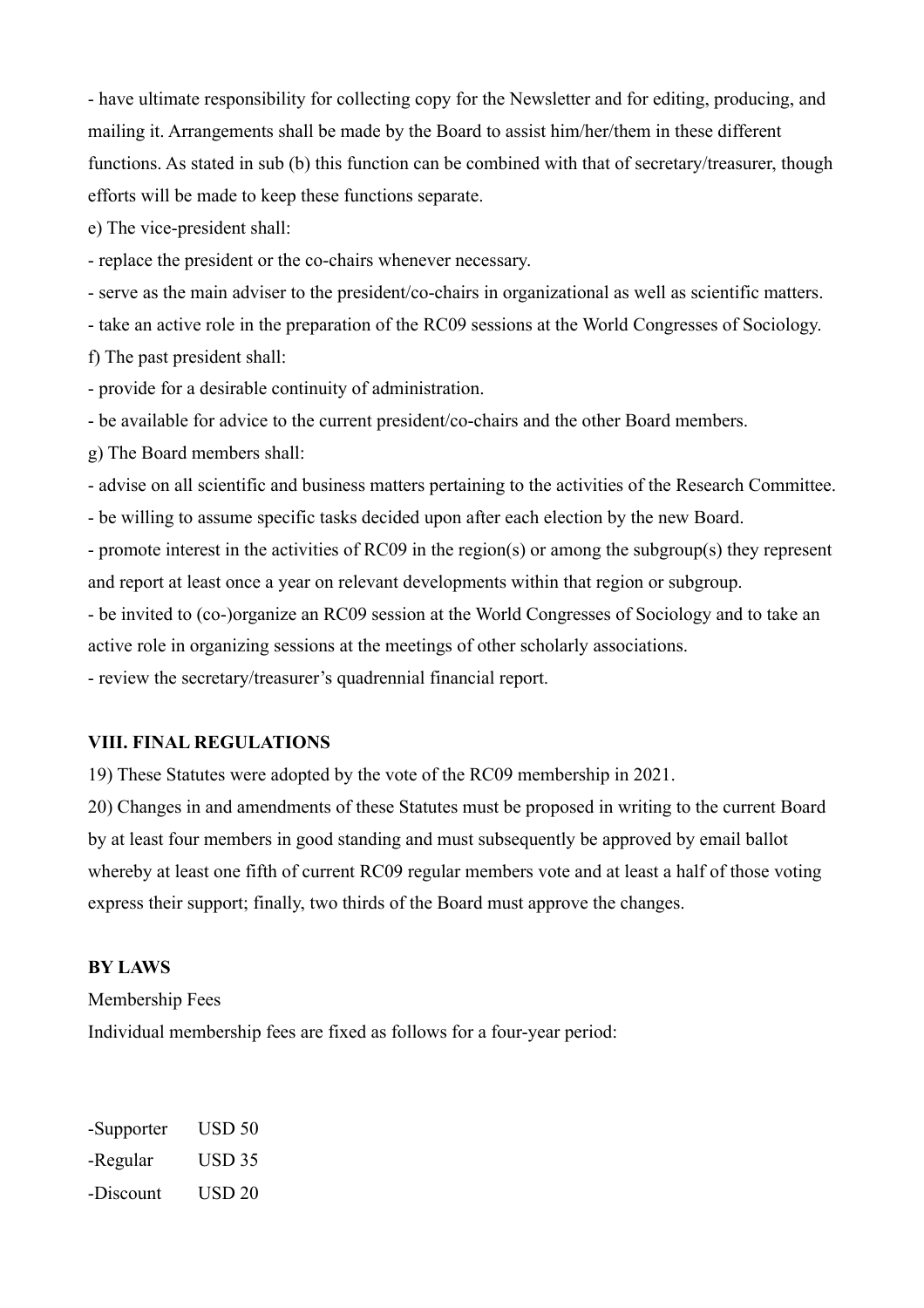- have ultimate responsibility for collecting copy for the Newsletter and for editing, producing, and mailing it. Arrangements shall be made by the Board to assist him/her/them in these different functions. As stated in sub (b) this function can be combined with that of secretary/treasurer, though efforts will be made to keep these functions separate.

e) The vice-president shall:

- replace the president or the co-chairs whenever necessary.

- serve as the main adviser to the president/co-chairs in organizational as well as scientific matters.

- take an active role in the preparation of the RC09 sessions at the World Congresses of Sociology.

f) The past president shall:

- provide for a desirable continuity of administration.

- be available for advice to the current president/co-chairs and the other Board members.

g) The Board members shall:

- advise on all scientific and business matters pertaining to the activities of the Research Committee.

- be willing to assume specific tasks decided upon after each election by the new Board.

- promote interest in the activities of RC09 in the region(s) or among the subgroup(s) they represent and report at least once a year on relevant developments within that region or subgroup.

- be invited to (co-)organize an RC09 session at the World Congresses of Sociology and to take an active role in organizing sessions at the meetings of other scholarly associations.

- review the secretary/treasurer's quadrennial financial report.

#### **VIII. FINAL REGULATIONS**

19) These Statutes were adopted by the vote of the RC09 membership in 2021.

20) Changes in and amendments of these Statutes must be proposed in writing to the current Board by at least four members in good standing and must subsequently be approved by email ballot whereby at least one fifth of current RC09 regular members vote and at least a half of those voting express their support; finally, two thirds of the Board must approve the changes.

#### **BY LAWS**

Membership Fees

Individual membership fees are fixed as follows for a four-year period:

-Supporter USD 50 -Regular USD 35 -Discount USD 20